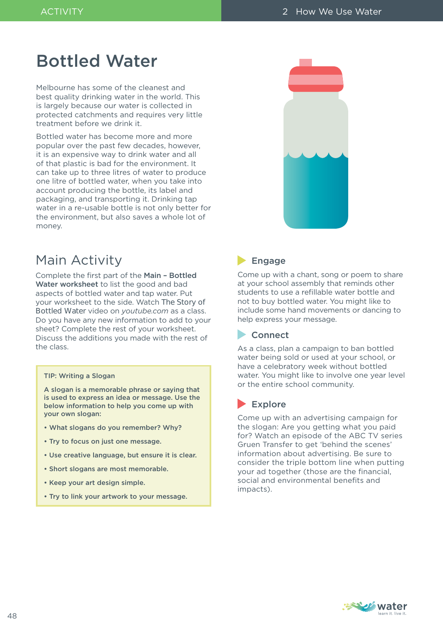# Bottled Water

Melbourne has some of the cleanest and best quality drinking water in the world. This is largely because our water is collected in protected catchments and requires very little treatment before we drink it.

Bottled water has become more and more popular over the past few decades, however, it is an expensive way to drink water and all of that plastic is bad for the environment. It can take up to three litres of water to produce one litre of bottled water, when you take into account producing the bottle, its label and packaging, and transporting it. Drinking tap water in a re-usable bottle is not only better for the environment, but also saves a whole lot of money.



# Main Activity

Complete the first part of the Main – Bottled Water worksheet to list the good and bad aspects of bottled water and tap water. Put your worksheet to the side. Watch *The Story of Bottled Water* video on *youtube.com* as a class. Do you have any new information to add to your sheet? Complete the rest of your worksheet. Discuss the additions you made with the rest of the class.

#### TIP: Writing a Slogan

A slogan is a memorable phrase or saying that is used to express an idea or message. Use the below information to help you come up with your own slogan:

- What slogans do you remember? Why?
- Try to focus on just one message.
- Use creative language, but ensure it is clear.
- Short slogans are most memorable.
- Keep your art design simple.
- Try to link your artwork to your message.

## **Engage**

Come up with a chant, song or poem to share at your school assembly that reminds other students to use a refillable water bottle and not to buy bottled water. You might like to include some hand movements or dancing to help express your message.

### **Connect**

As a class, plan a campaign to ban bottled water being sold or used at your school, or have a celebratory week without bottled water. You might like to involve one year level or the entire school community.

### $\blacktriangleright$  Explore

Come up with an advertising campaign for the slogan: Are you getting what you paid for? Watch an episode of the ABC TV series Gruen Transfer to get 'behind the scenes' information about advertising. Be sure to consider the triple bottom line when putting your ad together (those are the financial, social and environmental benefits and impacts).